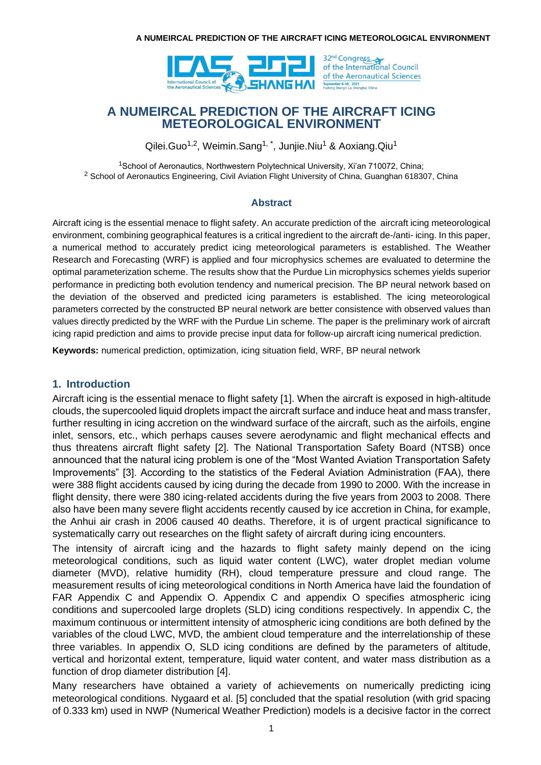

32<sup>nd</sup> Congress<br>of the International Council of the Aeronautical Sciences

# **A NUMEIRCAL PREDICTION OF THE AIRCRAFT ICING METEOROLOGICAL ENVIRONMENT**

Qilei.Guo<sup>1,2</sup>, Weimin.Sang<sup>1,\*</sup>, Junjie.Niu<sup>1</sup> & Aoxiang.Qiu<sup>1</sup>

<sup>1</sup>School of Aeronautics, Northwestern Polytechnical University, Xi'an 710072, China; <sup>2</sup> School of Aeronautics Engineering, Civil Aviation Flight University of China, Guanghan 618307, China

### **Abstract**

Aircraft icing is the essential menace to flight safety. An accurate prediction of the aircraft icing meteorological environment, combining geographical features is a critical ingredient to the aircraft de-/anti- icing. In this paper, a numerical method to accurately predict icing meteorological parameters is established. The Weather Research and Forecasting (WRF) is applied and four microphysics schemes are evaluated to determine the optimal parameterization scheme. The results show that the Purdue Lin microphysics schemes yields superior performance in predicting both evolution tendency and numerical precision. The BP neural network based on the deviation of the observed and predicted icing parameters is established. The icing meteorological parameters corrected by the constructed BP neural network are better consistence with observed values than values directly predicted by the WRF with the Purdue Lin scheme. The paper is the preliminary work of aircraft icing rapid prediction and aims to provide precise input data for follow-up aircraft icing numerical prediction.

**Keywords:** numerical prediction, optimization, icing situation field, WRF, BP neural network

### **1. Introduction**

Aircraft icing is the essential menace to flight safety [1]. When the aircraft is exposed in high-altitude clouds, the supercooled liquid droplets impact the aircraft surface and induce heat and mass transfer, further resulting in icing accretion on the windward surface of the aircraft, such as the airfoils, engine inlet, sensors, etc., which perhaps causes severe aerodynamic and flight mechanical effects and thus threatens aircraft flight safety [2]. The National Transportation Safety Board (NTSB) once announced that the natural icing problem is one of the "Most Wanted Aviation Transportation Safety Improvements" [3]. According to the statistics of the Federal Aviation Administration (FAA), there were 388 flight accidents caused by icing during the decade from 1990 to 2000. With the increase in flight density, there were 380 icing-related accidents during the five years from 2003 to 2008. There also have been many severe flight accidents recently caused by ice accretion in China, for example, the Anhui air crash in 2006 caused 40 deaths. Therefore, it is of urgent practical significance to systematically carry out researches on the flight safety of aircraft during icing encounters.

The intensity of aircraft icing and the hazards to flight safety mainly depend on the icing meteorological conditions, such as liquid water content (LWC), water droplet median volume diameter (MVD), relative humidity (RH), cloud temperature pressure and cloud range. The measurement results of icing meteorological conditions in North America have laid the foundation of FAR Appendix C and Appendix O. Appendix C and appendix O specifies atmospheric icing conditions and supercooled large droplets (SLD) icing conditions respectively. In appendix C, the maximum continuous or intermittent intensity of atmospheric icing conditions are both defined by the variables of the cloud LWC, MVD, the ambient cloud temperature and the interrelationship of these three variables. In appendix O, SLD icing conditions are defined by the parameters of altitude, vertical and horizontal extent, temperature, liquid water content, and water mass distribution as a function of drop diameter distribution [4].

Many researchers have obtained a variety of achievements on numerically predicting icing meteorological conditions. Nygaard et al. [5] concluded that the spatial resolution (with grid spacing of 0.333 km) used in NWP (Numerical Weather Prediction) models is a decisive factor in the correct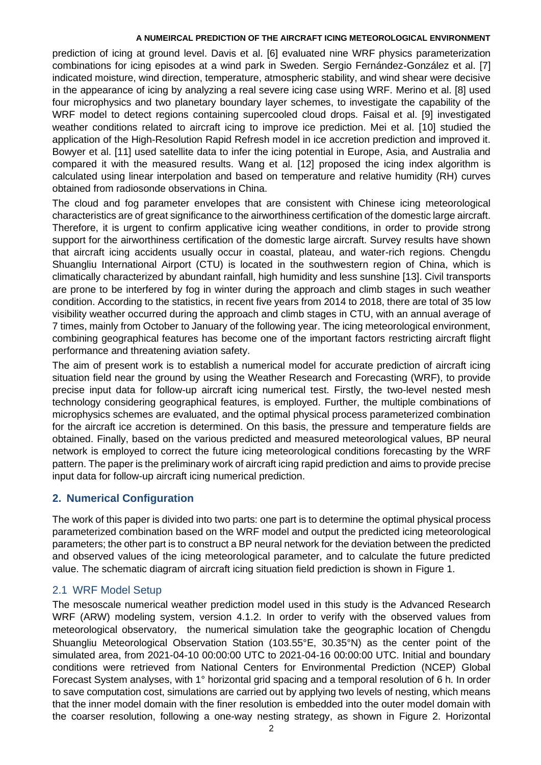prediction of icing at ground level. Davis et al. [6] evaluated nine WRF physics parameterization combinations for icing episodes at a wind park in Sweden. Sergio Fernández-González et al. [7] indicated moisture, wind direction, temperature, atmospheric stability, and wind shear were decisive in the appearance of icing by analyzing a real severe icing case using WRF. Merino et al. [8] used four microphysics and two planetary boundary layer schemes, to investigate the capability of the WRF model to detect regions containing supercooled cloud drops. Faisal et al. [9] investigated weather conditions related to aircraft icing to improve ice prediction. Mei et al. [10] studied the application of the High-Resolution Rapid Refresh model in ice accretion prediction and improved it. Bowyer et al. [11] used satellite data to infer the icing potential in Europe, Asia, and Australia and compared it with the measured results. Wang et al. [12] proposed the icing index algorithm is calculated using linear interpolation and based on temperature and relative humidity (RH) curves obtained from radiosonde observations in China.

The cloud and fog parameter envelopes that are consistent with Chinese icing meteorological characteristics are of great significance to the airworthiness certification of the domestic large aircraft. Therefore, it is urgent to confirm applicative icing weather conditions, in order to provide strong support for the airworthiness certification of the domestic large aircraft. Survey results have shown that aircraft icing accidents usually occur in coastal, plateau, and water-rich regions. Chengdu Shuangliu International Airport (CTU) is located in the southwestern region of China, which is climatically characterized by abundant rainfall, high humidity and less sunshine [13]. Civil transports are prone to be interfered by fog in winter during the approach and climb stages in such weather condition. According to the statistics, in recent five years from 2014 to 2018, there are total of 35 low visibility weather occurred during the approach and climb stages in CTU, with an annual average of 7 times, mainly from October to January of the following year. The icing meteorological environment, combining geographical features has become one of the important factors restricting aircraft flight performance and threatening aviation safety.

The aim of present work is to establish a numerical model for accurate prediction of aircraft icing situation field near the ground by using the Weather Research and Forecasting (WRF), to provide precise input data for follow-up aircraft icing numerical test. Firstly, the two-level nested mesh technology considering geographical features, is employed. Further, the multiple combinations of microphysics schemes are evaluated, and the optimal physical process parameterized combination for the aircraft ice accretion is determined. On this basis, the pressure and temperature fields are obtained. Finally, based on the various predicted and measured meteorological values, BP neural network is employed to correct the future icing meteorological conditions forecasting by the WRF pattern. The paper is the preliminary work of aircraft icing rapid prediction and aims to provide precise input data for follow-up aircraft icing numerical prediction.

### **2. Numerical Configuration**

The work of this paper is divided into two parts: one part is to determine the optimal physical process parameterized combination based on the WRF model and output the predicted icing meteorological parameters; the other part is to construct a BP neural network for the deviation between the predicted and observed values of the icing meteorological parameter, and to calculate the future predicted value. The schematic diagram of aircraft icing situation field prediction is shown in Figure 1.

### 2.1 WRF Model Setup

The mesoscale numerical weather prediction model used in this study is the Advanced Research WRF (ARW) modeling system, version 4.1.2. In order to verify with the observed values from meteorological observatory, the numerical simulation take the geographic location of Chengdu Shuangliu Meteorological Observation Station (103.55°E, 30.35°N) as the center point of the simulated area, from 2021-04-10 00:00:00 UTC to 2021-04-16 00:00:00 UTC. Initial and boundary conditions were retrieved from National Centers for Environmental Prediction (NCEP) Global Forecast System analyses, with 1° horizontal grid spacing and a temporal resolution of 6 h. In order to save computation cost, simulations are carried out by applying two levels of nesting, which means that the inner model domain with the finer resolution is embedded into the outer model domain with the coarser resolution, following a one-way nesting strategy, as shown in Figure 2. Horizontal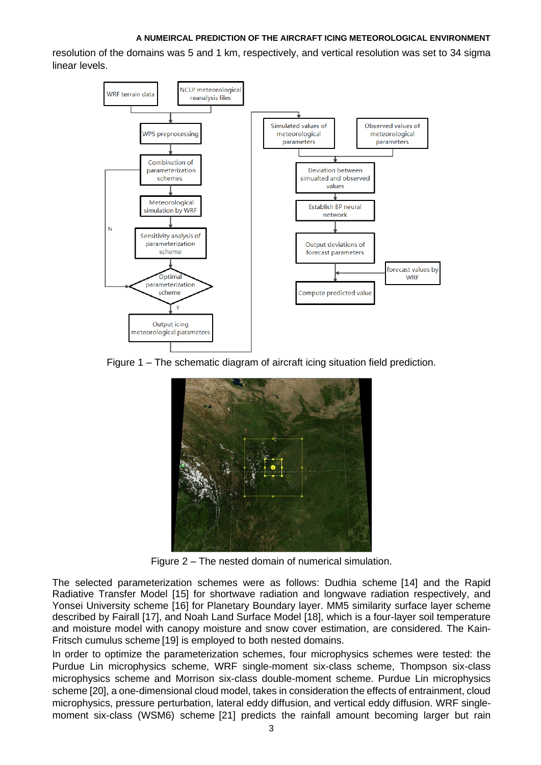resolution of the domains was 5 and 1 km, respectively, and vertical resolution was set to 34 sigma linear levels.



Figure 1 – The schematic diagram of aircraft icing situation field prediction.



Figure 2 – The nested domain of numerical simulation.

The selected parameterization schemes were as follows: Dudhia scheme [14] and the Rapid Radiative Transfer Model [15] for shortwave radiation and longwave radiation respectively, and Yonsei University scheme [16] for Planetary Boundary layer. MM5 similarity surface layer scheme described by Fairall [17], and Noah Land Surface Model [18], which is a four-layer soil temperature and moisture model with canopy moisture and snow cover estimation, are considered. The Kain-Fritsch cumulus scheme [19] is employed to both nested domains.

In order to optimize the parameterization schemes, four microphysics schemes were tested: the Purdue Lin microphysics scheme, WRF single-moment six-class scheme, Thompson six-class microphysics scheme and Morrison six-class double-moment scheme. Purdue Lin microphysics scheme [20], a one-dimensional cloud model, takes in consideration the effects of entrainment, cloud microphysics, pressure perturbation, lateral eddy diffusion, and vertical eddy diffusion. WRF singlemoment six-class (WSM6) scheme [21] predicts the rainfall amount becoming larger but rain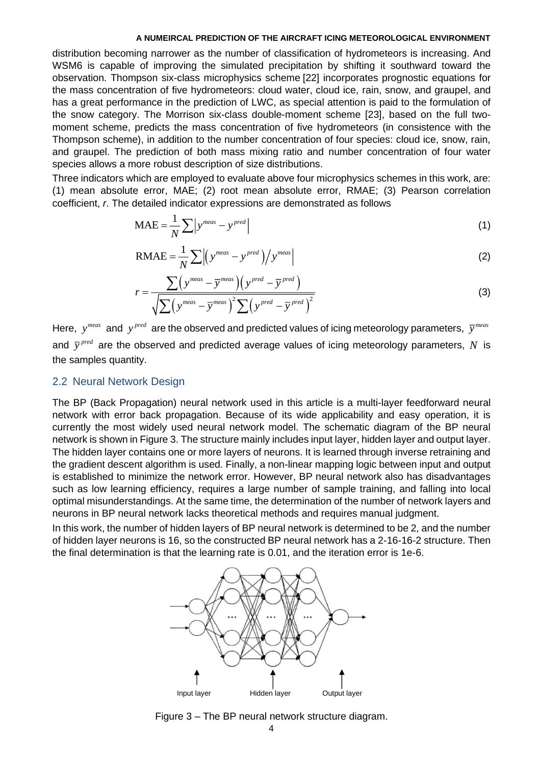distribution becoming narrower as the number of classification of hydrometeors is increasing. And WSM6 is capable of improving the simulated precipitation by shifting it southward toward the observation. Thompson six-class microphysics scheme [22] incorporates prognostic equations for the mass concentration of five hydrometeors: cloud water, cloud ice, rain, snow, and graupel, and has a great performance in the prediction of LWC, as special attention is paid to the formulation of the snow category. The Morrison six-class double-moment scheme [23], based on the full twomoment scheme, predicts the mass concentration of five hydrometeors (in consistence with the Thompson scheme), in addition to the number concentration of four species: cloud ice, snow, rain, and graupel. The prediction of both mass mixing ratio and number concentration of four water species allows a more robust description of size distributions.

Three indicators which are employed to evaluate above four microphysics schemes in this work, are: (1) mean absolute error, MAE; (2) root mean absolute error, RMAE; (3) Pearson correlation coefficient, *r*. The detailed indicator expressions are demonstrated as follows

$$
MAE = \frac{1}{N} \sum |y^{meas} - y^{pred}|
$$
 (1)

$$
RMAE = \frac{1}{N} \sum \left| \left( y^{meas} - y^{pred} \right) \right/ y^{meas} \tag{2}
$$

$$
r = \frac{\sum (y^{meas} - \overline{y}^{meas}) (y^{pred} - \overline{y}^{pred})}{\sqrt{\sum (y^{meas} - \overline{y}^{meas})^2 \sum (y^{pred} - \overline{y}^{pred})^2}}
$$
(3)

Here,  $y^{meas}$  and  $y^{pred}$  are the observed and predicted values of icing meteorology parameters,  $\bar{y}^{meas}$ and  $\bar{y}^{pred}$  are the observed and predicted average values of icing meteorology parameters, N is the samples quantity.

#### 2.2 Neural Network Design

The BP (Back Propagation) neural network used in this article is a multi-layer feedforward neural network with error back propagation. Because of its wide applicability and easy operation, it is currently the most widely used neural network model. The schematic diagram of the BP neural network is shown in Figure 3. The structure mainly includes input layer, hidden layer and output layer. The hidden layer contains one or more layers of neurons. It is learned through inverse retraining and the gradient descent algorithm is used. Finally, a non-linear mapping logic between input and output is established to minimize the network error. However, BP neural network also has disadvantages such as low learning efficiency, requires a large number of sample training, and falling into local optimal misunderstandings. At the same time, the determination of the number of network layers and neurons in BP neural network lacks theoretical methods and requires manual judgment.

In this work, the number of hidden layers of BP neural network is determined to be 2, and the number of hidden layer neurons is 16, so the constructed BP neural network has a 2-16-16-2 structure. Then the final determination is that the learning rate is 0.01, and the iteration error is 1e-6.



Figure 3 – The BP neural network structure diagram.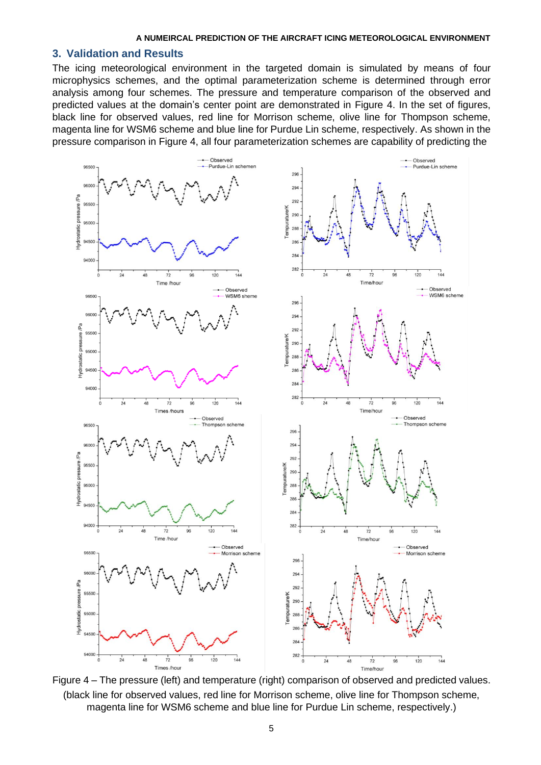#### **3. Validation and Results**

The icing meteorological environment in the targeted domain is simulated by means of four microphysics schemes, and the optimal parameterization scheme is determined through error analysis among four schemes. The pressure and temperature comparison of the observed and predicted values at the domain's center point are demonstrated in Figure 4. In the set of figures, black line for observed values, red line for Morrison scheme, olive line for Thompson scheme, magenta line for WSM6 scheme and blue line for Purdue Lin scheme, respectively. As shown in the pressure comparison in Figure 4, all four parameterization schemes are capability of predicting the



Figure 4 – The pressure (left) and temperature (right) comparison of observed and predicted values. (black line for observed values, red line for Morrison scheme, olive line for Thompson scheme, magenta line for WSM6 scheme and blue line for Purdue Lin scheme, respectively.)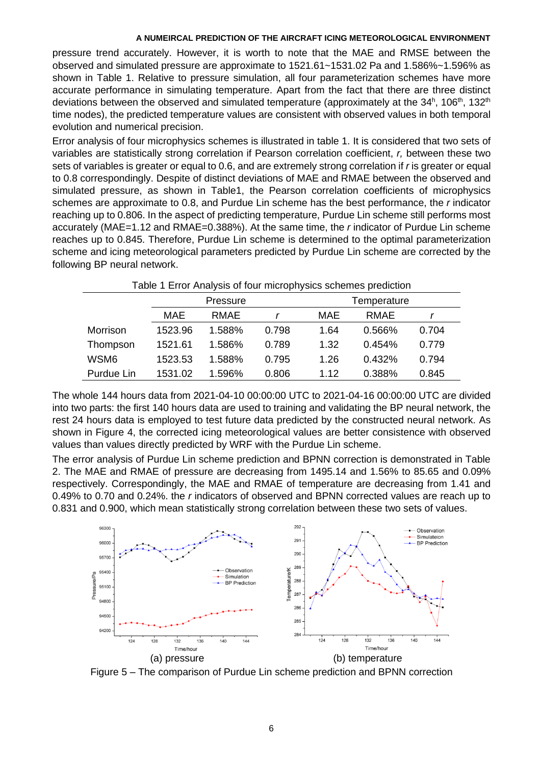pressure trend accurately. However, it is worth to note that the MAE and RMSE between the observed and simulated pressure are approximate to 1521.61~1531.02 Pa and 1.586%~1.596% as shown in Table 1. Relative to pressure simulation, all four parameterization schemes have more accurate performance in simulating temperature. Apart from the fact that there are three distinct deviations between the observed and simulated temperature (approximately at the 34<sup>h</sup>, 106<sup>th</sup>, 132<sup>th</sup> time nodes), the predicted temperature values are consistent with observed values in both temporal evolution and numerical precision.

Error analysis of four microphysics schemes is illustrated in table 1. It is considered that two sets of variables are statistically strong correlation if Pearson correlation coefficient, *r,* between these two sets of variables is greater or equal to 0.6, and are extremely strong correlation if *r* is greater or equal to 0.8 correspondingly. Despite of distinct deviations of MAE and RMAE between the observed and simulated pressure, as shown in Table1, the Pearson correlation coefficients of microphysics schemes are approximate to 0.8, and Purdue Lin scheme has the best performance, the *r* indicator reaching up to 0.806. In the aspect of predicting temperature, Purdue Lin scheme still performs most accurately (MAE=1.12 and RMAE=0.388%). At the same time, the *r* indicator of Purdue Lin scheme reaches up to 0.845. Therefore, Purdue Lin scheme is determined to the optimal parameterization scheme and icing meteorological parameters predicted by Purdue Lin scheme are corrected by the following BP neural network.

| Table 1 Error Analysis of four microphysics schemes prediction |          |        |       |             |        |       |
|----------------------------------------------------------------|----------|--------|-------|-------------|--------|-------|
|                                                                | Pressure |        |       | Temperature |        |       |
|                                                                | MAE      | RMAE   |       | MAE         | RMAE   |       |
| Morrison                                                       | 1523.96  | 1.588% | 0.798 | 1.64        | 0.566% | 0.704 |
| Thompson                                                       | 1521.61  | 1.586% | 0.789 | 1.32        | 0.454% | 0.779 |
| WSM6                                                           | 1523.53  | 1.588% | 0.795 | 1.26        | 0.432% | 0.794 |
| Purdue Lin                                                     | 1531.02  | 1.596% | 0.806 | 1.12        | 0.388% | 0.845 |

The whole 144 hours data from 2021-04-10 00:00:00 UTC to 2021-04-16 00:00:00 UTC are divided into two parts: the first 140 hours data are used to training and validating the BP neural network, the rest 24 hours data is employed to test future data predicted by the constructed neural network. As shown in Figure 4, the corrected icing meteorological values are better consistence with observed values than values directly predicted by WRF with the Purdue Lin scheme.

The error analysis of Purdue Lin scheme prediction and BPNN correction is demonstrated in Table 2. The MAE and RMAE of pressure are decreasing from 1495.14 and 1.56% to 85.65 and 0.09% respectively. Correspondingly, the MAE and RMAE of temperature are decreasing from 1.41 and 0.49% to 0.70 and 0.24%. the *r* indicators of observed and BPNN corrected values are reach up to 0.831 and 0.900, which mean statistically strong correlation between these two sets of values.



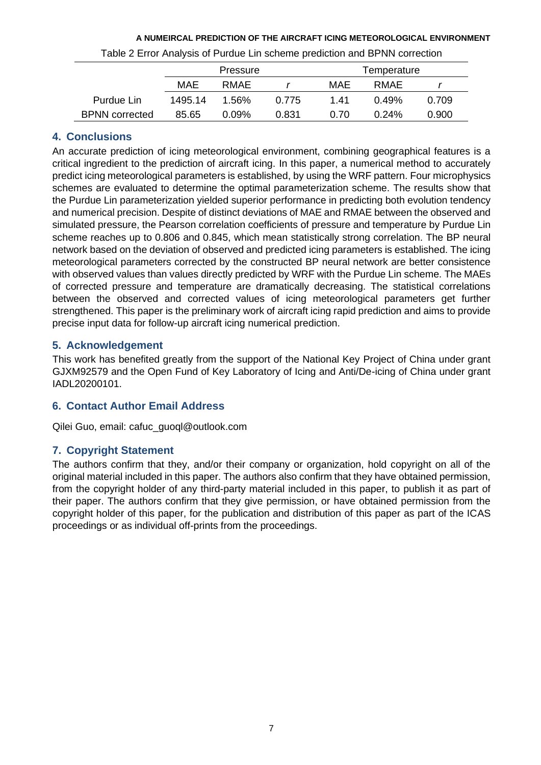# Pressure Temperature MAE RMAE *r* MAE RMAE *r* Purdue Lin 1495.14 1.56% 0.775 1.41 0.49% 0.709 BPNN corrected 85.65 0.09% 0.831 0.70 0.24% 0.900

### **A NUMEIRCAL PREDICTION OF THE AIRCRAFT ICING METEOROLOGICAL ENVIRONMENT** Table 2 Error Analysis of Purdue Lin scheme prediction and BPNN correction

# **4. Conclusions**

An accurate prediction of icing meteorological environment, combining geographical features is a critical ingredient to the prediction of aircraft icing. In this paper, a numerical method to accurately predict icing meteorological parameters is established, by using the WRF pattern. Four microphysics schemes are evaluated to determine the optimal parameterization scheme. The results show that the Purdue Lin parameterization yielded superior performance in predicting both evolution tendency and numerical precision. Despite of distinct deviations of MAE and RMAE between the observed and simulated pressure, the Pearson correlation coefficients of pressure and temperature by Purdue Lin scheme reaches up to 0.806 and 0.845, which mean statistically strong correlation. The BP neural network based on the deviation of observed and predicted icing parameters is established. The icing meteorological parameters corrected by the constructed BP neural network are better consistence with observed values than values directly predicted by WRF with the Purdue Lin scheme. The MAEs of corrected pressure and temperature are dramatically decreasing. The statistical correlations between the observed and corrected values of icing meteorological parameters get further strengthened. This paper is the preliminary work of aircraft icing rapid prediction and aims to provide precise input data for follow-up aircraft icing numerical prediction.

# **5. Acknowledgement**

This work has benefited greatly from the support of the National Key Project of China under grant GJXM92579 and the Open Fund of Key Laboratory of Icing and Anti/De-icing of China under grant IADL20200101.

# **6. Contact Author Email Address**

Qilei Guo, email: cafuc\_guoql@outlook.com

# **7. Copyright Statement**

The authors confirm that they, and/or their company or organization, hold copyright on all of the original material included in this paper. The authors also confirm that they have obtained permission, from the copyright holder of any third-party material included in this paper, to publish it as part of their paper. The authors confirm that they give permission, or have obtained permission from the copyright holder of this paper, for the publication and distribution of this paper as part of the ICAS proceedings or as individual off-prints from the proceedings.